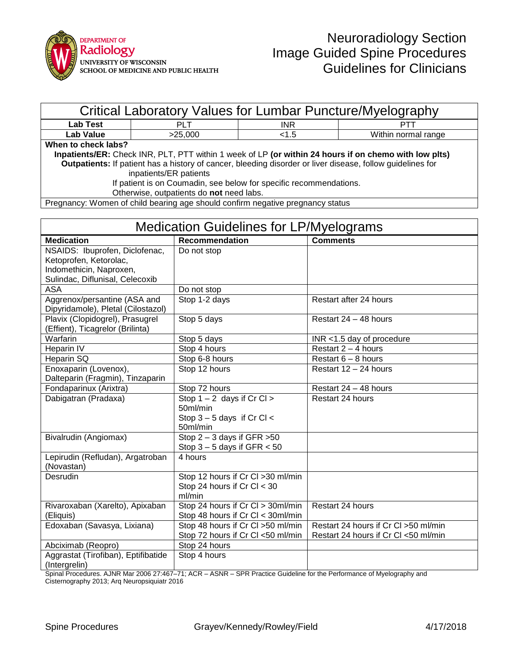

| Critical Laboratory Values for Lumbar Puncture/Myelography                                                        |                       |            |                     |  |  |
|-------------------------------------------------------------------------------------------------------------------|-----------------------|------------|---------------------|--|--|
| <b>Lab Test</b>                                                                                                   | <b>PLT</b>            | <b>INR</b> | PTT                 |  |  |
| Lab Value                                                                                                         | >25.000               | < 1.5      | Within normal range |  |  |
| When to check labs?                                                                                               |                       |            |                     |  |  |
| Inpatients/ER: Check INR, PLT, PTT within 1 week of LP (or within 24 hours if on chemo with low plts)             |                       |            |                     |  |  |
| <b>Outpatients:</b> If patient has a history of cancer, bleeding disorder or liver disease, follow guidelines for |                       |            |                     |  |  |
| inpatients/ER patients                                                                                            |                       |            |                     |  |  |
| If patient is on Coumadin, see below for specific recommendations.                                                |                       |            |                     |  |  |
| Otherwise, outpatients do not need labs.                                                                          |                       |            |                     |  |  |
| Pregnancy: Women of child bearing age should confirm negative pregnancy status                                    |                       |            |                     |  |  |
|                                                                                                                   |                       |            |                     |  |  |
| <b>Medication Guidelines for LP/Myelograms</b>                                                                    |                       |            |                     |  |  |
| <b>Medication</b>                                                                                                 | <b>Recommendation</b> |            | <b>Comments</b>     |  |  |

| medication                          | Recommendation                    | Comments                              |
|-------------------------------------|-----------------------------------|---------------------------------------|
| NSAIDS: Ibuprofen, Diclofenac,      | Do not stop                       |                                       |
| Ketoprofen, Ketorolac,              |                                   |                                       |
| Indomethicin, Naproxen,             |                                   |                                       |
| Sulindac, Diflunisal, Celecoxib     |                                   |                                       |
| <b>ASA</b>                          | Do not stop                       |                                       |
| Aggrenox/persantine (ASA and        | Stop 1-2 days                     | Restart after 24 hours                |
| Dipyridamole), Pletal (Cilostazol)  |                                   |                                       |
| Plavix (Clopidogrel), Prasugrel     | Stop 5 days                       | Restart 24 - 48 hours                 |
| (Effient), Ticagrelor (Brilinta)    |                                   |                                       |
| Warfarin                            | Stop 5 days                       | $INR < 1.5$ day of procedure          |
| Heparin IV                          | Stop 4 hours                      | Restart $2 - 4$ hours                 |
| Heparin SQ                          | Stop 6-8 hours                    | Restart $6 - 8$ hours                 |
| Enoxaparin (Lovenox),               | Stop 12 hours                     | Restart 12 - 24 hours                 |
| Dalteparin (Fragmin), Tinzaparin    |                                   |                                       |
| Fondaparinux (Arixtra)              | Stop 72 hours                     | Restart 24 - 48 hours                 |
| Dabigatran (Pradaxa)                | Stop $1 - 2$ days if Cr Cl >      | Restart 24 hours                      |
|                                     | 50ml/min                          |                                       |
|                                     | Stop $3 - 5$ days if Cr Cl <      |                                       |
|                                     | 50ml/min                          |                                       |
| Bivalrudin (Angiomax)               | Stop $2 - 3$ days if GFR $>50$    |                                       |
|                                     | Stop $3 - 5$ days if GFR $< 50$   |                                       |
| Lepirudin (Refludan), Argatroban    | 4 hours                           |                                       |
| (Novastan)                          |                                   |                                       |
| Desrudin                            | Stop 12 hours if Cr Cl >30 ml/min |                                       |
|                                     | Stop 24 hours if Cr Cl < 30       |                                       |
|                                     | ml/min                            |                                       |
| Rivaroxaban (Xarelto), Apixaban     | Stop 24 hours if Cr Cl > 30ml/min | Restart 24 hours                      |
| (Eliquis)                           | Stop 48 hours if Cr Cl < 30ml/min |                                       |
| Edoxaban (Savasya, Lixiana)         | Stop 48 hours if Cr Cl >50 ml/min | Restart 24 hours if Cr Cl > 50 ml/min |
|                                     | Stop 72 hours if Cr Cl <50 ml/min | Restart 24 hours if Cr Cl <50 ml/min  |
| Abciximab (Reopro)                  | Stop 24 hours                     |                                       |
| Aggrastat (Tirofiban), Eptifibatide | Stop 4 hours                      |                                       |
| (Intergrelin)                       |                                   |                                       |

Spinal Procedures. AJNR Mar 2006 27:467–71; ACR – ASNR – SPR Practice Guideline for the Performance of Myelography and Cisternography 2013; Arq Neuropsiquiatr 2016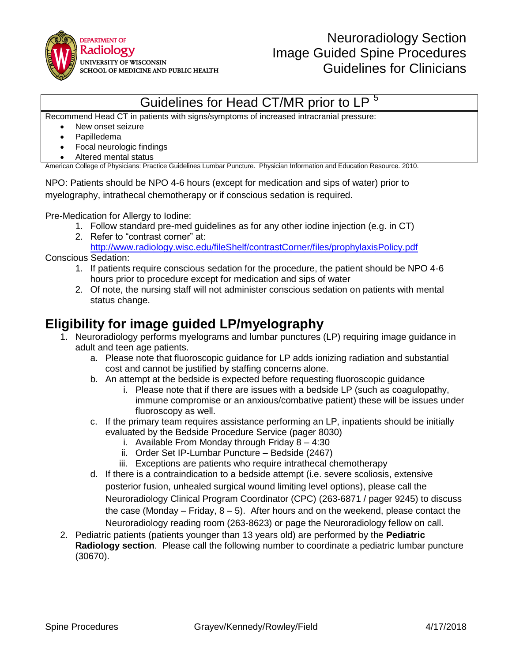

## Guidelines for Head CT/MR prior to L

Recommend Head CT in patients with signs/symptoms of increased intracranial pressure:

- New onset seizure
- Papilledema
- Focal neurologic findings
- Altered mental status

American College of Physicians: Practice Guidelines Lumbar Puncture. Physician Information and Education Resource. 2010.

NPO: Patients should be NPO 4-6 hours (except for medication and sips of water) prior to myelography, intrathecal chemotherapy or if conscious sedation is required.

Pre-Medication for Allergy to Iodine:

- 1. Follow standard pre-med guidelines as for any other iodine injection (e.g. in CT)
- 2. Refer to "contrast corner" at:

<http://www.radiology.wisc.edu/fileShelf/contrastCorner/files/prophylaxisPolicy.pdf> Conscious Sedation:

- 1. If patients require conscious sedation for the procedure, the patient should be NPO 4-6 hours prior to procedure except for medication and sips of water
- 2. Of note, the nursing staff will not administer conscious sedation on patients with mental status change.

#### **Eligibility for image guided LP/myelography**

- 1. Neuroradiology performs myelograms and lumbar punctures (LP) requiring image guidance in adult and teen age patients.
	- a. Please note that fluoroscopic guidance for LP adds ionizing radiation and substantial cost and cannot be justified by staffing concerns alone.
	- b. An attempt at the bedside is expected before requesting fluoroscopic guidance
		- i. Please note that if there are issues with a bedside LP (such as coagulopathy, immune compromise or an anxious/combative patient) these will be issues under fluoroscopy as well.
	- c. If the primary team requires assistance performing an LP, inpatients should be initially evaluated by the Bedside Procedure Service (pager 8030)
		- i. Available From Monday through Friday  $8 4:30$
		- ii. Order Set IP-Lumbar Puncture Bedside (2467)
		- iii. Exceptions are patients who require intrathecal chemotherapy
	- d. If there is a contraindication to a bedside attempt (i.e. severe scoliosis, extensive posterior fusion, unhealed surgical wound limiting level options), please call the Neuroradiology Clinical Program Coordinator (CPC) (263-6871 / pager 9245) to discuss the case (Monday – Friday,  $8 - 5$ ). After hours and on the weekend, please contact the Neuroradiology reading room (263-8623) or page the Neuroradiology fellow on call.
- 2. Pediatric patients (patients younger than 13 years old) are performed by the **Pediatric Radiology section**. Please call the following number to coordinate a pediatric lumbar puncture (30670).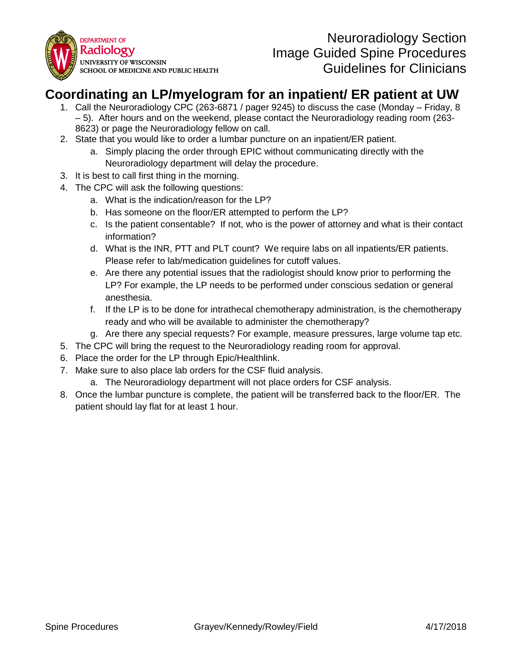

### **Coordinating an LP/myelogram for an inpatient/ ER patient at UW**

- 1. Call the Neuroradiology CPC (263-6871 / pager 9245) to discuss the case (Monday Friday, 8 – 5). After hours and on the weekend, please contact the Neuroradiology reading room (263- 8623) or page the Neuroradiology fellow on call.
- 2. State that you would like to order a lumbar puncture on an inpatient/ER patient.
	- a. Simply placing the order through EPIC without communicating directly with the Neuroradiology department will delay the procedure.
- 3. It is best to call first thing in the morning.
- 4. The CPC will ask the following questions:
	- a. What is the indication/reason for the LP?
	- b. Has someone on the floor/ER attempted to perform the LP?
	- c. Is the patient consentable? If not, who is the power of attorney and what is their contact information?
	- d. What is the INR, PTT and PLT count? We require labs on all inpatients/ER patients. Please refer to lab/medication guidelines for cutoff values.
	- e. Are there any potential issues that the radiologist should know prior to performing the LP? For example, the LP needs to be performed under conscious sedation or general anesthesia.
	- f. If the LP is to be done for intrathecal chemotherapy administration, is the chemotherapy ready and who will be available to administer the chemotherapy?
	- g. Are there any special requests? For example, measure pressures, large volume tap etc.
- 5. The CPC will bring the request to the Neuroradiology reading room for approval.
- 6. Place the order for the LP through Epic/Healthlink.
- 7. Make sure to also place lab orders for the CSF fluid analysis.
	- a. The Neuroradiology department will not place orders for CSF analysis.
- 8. Once the lumbar puncture is complete, the patient will be transferred back to the floor/ER. The patient should lay flat for at least 1 hour.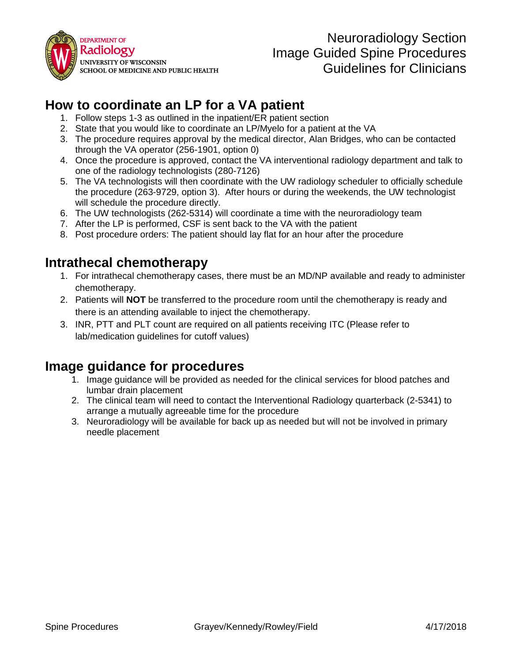

### **How to coordinate an LP for a VA patient**

- 1. Follow steps 1-3 as outlined in the inpatient/ER patient section
- 2. State that you would like to coordinate an LP/Myelo for a patient at the VA
- 3. The procedure requires approval by the medical director, Alan Bridges, who can be contacted through the VA operator (256-1901, option 0)
- 4. Once the procedure is approved, contact the VA interventional radiology department and talk to one of the radiology technologists (280-7126)
- 5. The VA technologists will then coordinate with the UW radiology scheduler to officially schedule the procedure (263-9729, option 3). After hours or during the weekends, the UW technologist will schedule the procedure directly.
- 6. The UW technologists (262-5314) will coordinate a time with the neuroradiology team
- 7. After the LP is performed, CSF is sent back to the VA with the patient
- 8. Post procedure orders: The patient should lay flat for an hour after the procedure

### **Intrathecal chemotherapy**

- 1. For intrathecal chemotherapy cases, there must be an MD/NP available and ready to administer chemotherapy.
- 2. Patients will **NOT** be transferred to the procedure room until the chemotherapy is ready and there is an attending available to inject the chemotherapy.
- 3. INR, PTT and PLT count are required on all patients receiving ITC (Please refer to lab/medication guidelines for cutoff values)

### **Image guidance for procedures**

- 1. Image guidance will be provided as needed for the clinical services for blood patches and lumbar drain placement
- 2. The clinical team will need to contact the Interventional Radiology quarterback (2-5341) to arrange a mutually agreeable time for the procedure
- 3. Neuroradiology will be available for back up as needed but will not be involved in primary needle placement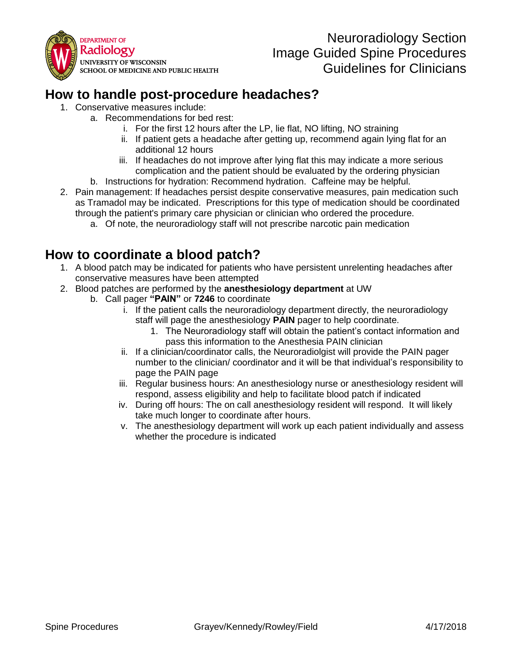

### **How to handle post-procedure headaches?**

- 1. Conservative measures include:
	- a. Recommendations for bed rest:
		- i. For the first 12 hours after the LP, lie flat, NO lifting, NO straining
		- ii. If patient gets a headache after getting up, recommend again lying flat for an additional 12 hours
		- iii. If headaches do not improve after lying flat this may indicate a more serious complication and the patient should be evaluated by the ordering physician
		- b. Instructions for hydration: Recommend hydration. Caffeine may be helpful.
- 2. Pain management: If headaches persist despite conservative measures, pain medication such as Tramadol may be indicated. Prescriptions for this type of medication should be coordinated through the patient's primary care physician or clinician who ordered the procedure.
	- a. Of note, the neuroradiology staff will not prescribe narcotic pain medication

### **How to coordinate a blood patch?**

- 1. A blood patch may be indicated for patients who have persistent unrelenting headaches after conservative measures have been attempted
- 2. Blood patches are performed by the **anesthesiology department** at UW
	- b. Call pager **"PAIN"** or **7246** to coordinate
		- i. If the patient calls the neuroradiology department directly, the neuroradiology staff will page the anesthesiology **PAIN** pager to help coordinate.
			- 1. The Neuroradiology staff will obtain the patient's contact information and pass this information to the Anesthesia PAIN clinician
		- ii. If a clinician/coordinator calls, the Neuroradiolgist will provide the PAIN pager number to the clinician/ coordinator and it will be that individual's responsibility to page the PAIN page
		- iii. Regular business hours: An anesthesiology nurse or anesthesiology resident will respond, assess eligibility and help to facilitate blood patch if indicated
		- iv. During off hours: The on call anesthesiology resident will respond. It will likely take much longer to coordinate after hours.
		- v. The anesthesiology department will work up each patient individually and assess whether the procedure is indicated